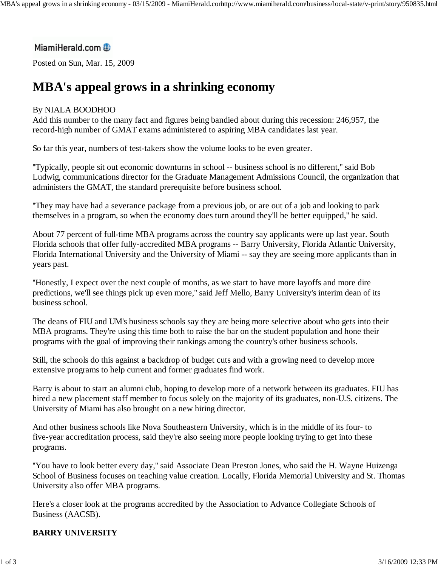# MiamiHerald.com

Posted on Sun, Mar. 15, 2009

# **MBA's appeal grows in a shrinking economy**

#### By NIALA BOODHOO

Add this number to the many fact and figures being bandied about during this recession: 246,957, the record-high number of GMAT exams administered to aspiring MBA candidates last year.

So far this year, numbers of test-takers show the volume looks to be even greater.

''Typically, people sit out economic downturns in school -- business school is no different,'' said Bob Ludwig, communications director for the Graduate Management Admissions Council, the organization that administers the GMAT, the standard prerequisite before business school.

''They may have had a severance package from a previous job, or are out of a job and looking to park themselves in a program, so when the economy does turn around they'll be better equipped,'' he said.

About 77 percent of full-time MBA programs across the country say applicants were up last year. South Florida schools that offer fully-accredited MBA programs -- Barry University, Florida Atlantic University, Florida International University and the University of Miami -- say they are seeing more applicants than in years past.

''Honestly, I expect over the next couple of months, as we start to have more layoffs and more dire predictions, we'll see things pick up even more,'' said Jeff Mello, Barry University's interim dean of its business school.

The deans of FIU and UM's business schools say they are being more selective about who gets into their MBA programs. They're using this time both to raise the bar on the student population and hone their programs with the goal of improving their rankings among the country's other business schools.

Still, the schools do this against a backdrop of budget cuts and with a growing need to develop more extensive programs to help current and former graduates find work.

Barry is about to start an alumni club, hoping to develop more of a network between its graduates. FIU has hired a new placement staff member to focus solely on the majority of its graduates, non-U.S. citizens. The University of Miami has also brought on a new hiring director.

And other business schools like Nova Southeastern University, which is in the middle of its four- to five-year accreditation process, said they're also seeing more people looking trying to get into these programs.

''You have to look better every day,'' said Associate Dean Preston Jones, who said the H. Wayne Huizenga School of Business focuses on teaching value creation. Locally, Florida Memorial University and St. Thomas University also offer MBA programs.

Here's a closer look at the programs accredited by the Association to Advance Collegiate Schools of Business (AACSB).

# **BARRY UNIVERSITY**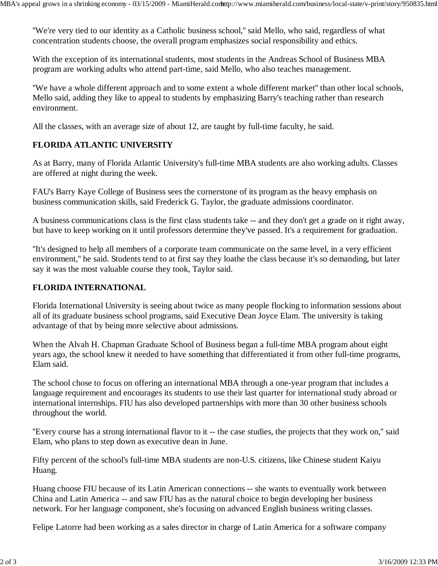''We're very tied to our identity as a Catholic business school,'' said Mello, who said, regardless of what concentration students choose, the overall program emphasizes social responsibility and ethics.

With the exception of its international students, most students in the Andreas School of Business MBA program are working adults who attend part-time, said Mello, who also teaches management.

''We have a whole different approach and to some extent a whole different market'' than other local schools, Mello said, adding they like to appeal to students by emphasizing Barry's teaching rather than research environment.

All the classes, with an average size of about 12, are taught by full-time faculty, he said.

#### **FLORIDA ATLANTIC UNIVERSITY**

As at Barry, many of Florida Atlantic University's full-time MBA students are also working adults. Classes are offered at night during the week.

FAU's Barry Kaye College of Business sees the cornerstone of its program as the heavy emphasis on business communication skills, said Frederick G. Taylor, the graduate admissions coordinator.

A business communications class is the first class students take -- and they don't get a grade on it right away, but have to keep working on it until professors determine they've passed. It's a requirement for graduation.

''It's designed to help all members of a corporate team communicate on the same level, in a very efficient environment,'' he said. Students tend to at first say they loathe the class because it's so demanding, but later say it was the most valuable course they took, Taylor said.

#### **FLORIDA INTERNATIONAL**

Florida International University is seeing about twice as many people flocking to information sessions about all of its graduate business school programs, said Executive Dean Joyce Elam. The university is taking advantage of that by being more selective about admissions.

When the Alvah H. Chapman Graduate School of Business began a full-time MBA program about eight years ago, the school knew it needed to have something that differentiated it from other full-time programs, Elam said.

The school chose to focus on offering an international MBA through a one-year program that includes a language requirement and encourages its students to use their last quarter for international study abroad or international internships. FIU has also developed partnerships with more than 30 other business schools throughout the world.

''Every course has a strong international flavor to it -- the case studies, the projects that they work on,'' said Elam, who plans to step down as executive dean in June.

Fifty percent of the school's full-time MBA students are non-U.S. citizens, like Chinese student Kaiyu Huang.

Huang choose FIU because of its Latin American connections -- she wants to eventually work between China and Latin America -- and saw FIU has as the natural choice to begin developing her business network. For her language component, she's focusing on advanced English business writing classes.

Felipe Latorre had been working as a sales director in charge of Latin America for a software company